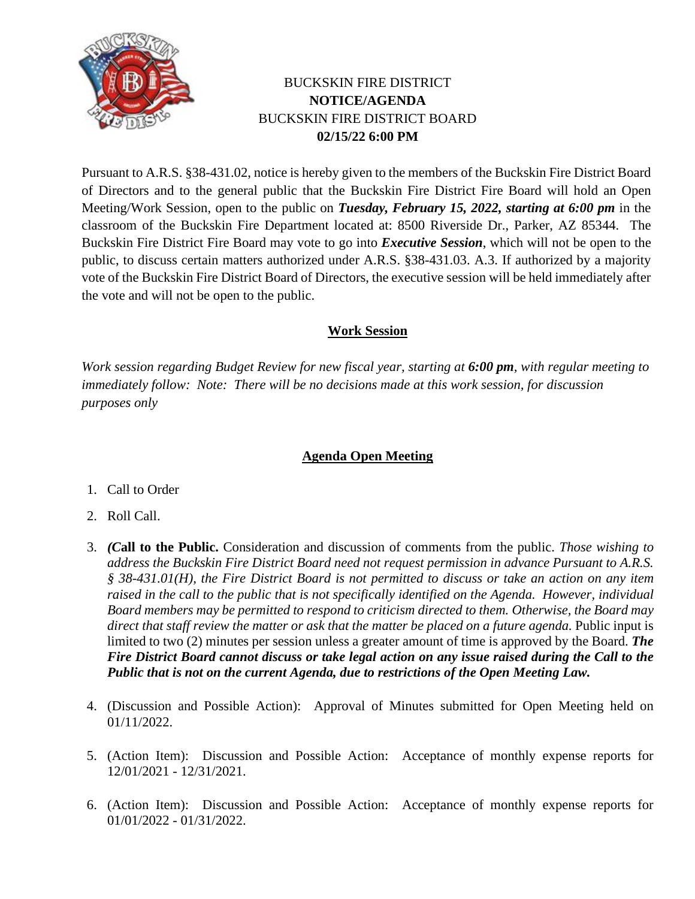

## BUCKSKIN FIRE DISTRICT **NOTICE/AGENDA** BUCKSKIN FIRE DISTRICT BOARD **02/15/22 6:00 PM**

Pursuant to A.R.S. §38-431.02, notice is hereby given to the members of the Buckskin Fire District Board of Directors and to the general public that the Buckskin Fire District Fire Board will hold an Open Meeting/Work Session, open to the public on *Tuesday, February 15, 2022, starting at 6:00 pm* in the classroom of the Buckskin Fire Department located at: 8500 Riverside Dr., Parker, AZ 85344. The Buckskin Fire District Fire Board may vote to go into *Executive Session*, which will not be open to the public, to discuss certain matters authorized under A.R.S. §38-431.03. A.3. If authorized by a majority vote of the Buckskin Fire District Board of Directors, the executive session will be held immediately after the vote and will not be open to the public.

## **Work Session**

*Work session regarding Budget Review for new fiscal year, starting at 6:00 pm, with regular meeting to immediately follow: Note: There will be no decisions made at this work session, for discussion purposes only*

## **Agenda Open Meeting**

- 1. Call to Order
- 2. Roll Call.
- 3. *(C***all to the Public.** Consideration and discussion of comments from the public. *Those wishing to address the Buckskin Fire District Board need not request permission in advance Pursuant to A.R.S. § 38-431.01(H), the Fire District Board is not permitted to discuss or take an action on any item raised in the call to the public that is not specifically identified on the Agenda. However, individual Board members may be permitted to respond to criticism directed to them. Otherwise, the Board may*  direct that staff review the matter or ask that the matter be placed on a future agenda. Public input is limited to two (2) minutes per session unless a greater amount of time is approved by the Board. *The Fire District Board cannot discuss or take legal action on any issue raised during the Call to the Public that is not on the current Agenda, due to restrictions of the Open Meeting Law.*
- 4. (Discussion and Possible Action): Approval of Minutes submitted for Open Meeting held on 01/11/2022.
- 5. (Action Item): Discussion and Possible Action: Acceptance of monthly expense reports for 12/01/2021 - 12/31/2021.
- 6. (Action Item): Discussion and Possible Action: Acceptance of monthly expense reports for 01/01/2022 - 01/31/2022.